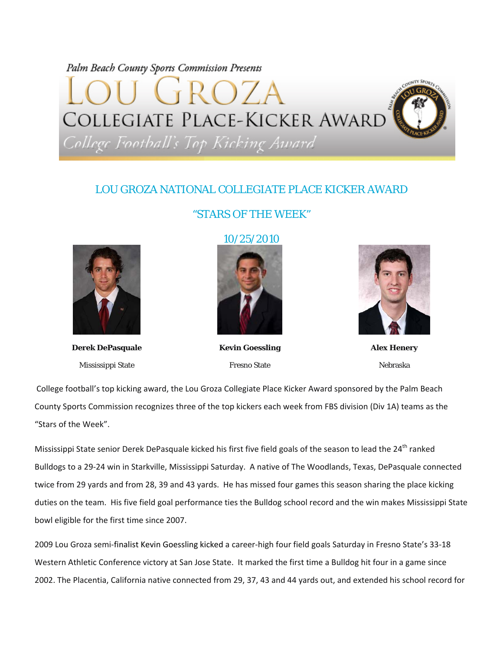## Palm Beach County Sports Commission Presents

# COLLEGIATE PLACE-KICKER AWARD

College Football's Top Kicking Award

### LOU GROZA NATIONAL COLLEGIATE PLACE KICKER AWARD

#### "STARS OF THE WEEK"



**Derek DePasquale** Mississippi State

#### 10/25/2010



**Kevin Goessling** Fresno State



**Alex Henery**  Nebraska

College football's top kicking award, the Lou Groza Collegiate Place Kicker Award sponsored by the Palm Beach County Sports Commission recognizes three of the top kickers each week from FBS division (Div 1A) teams as the "Stars of the Week".

Mississippi State senior Derek DePasquale kicked his first five field goals of the season to lead the 24<sup>th</sup> ranked Bulldogs to a 29‐24 win in Starkville, Mississippi Saturday. A native of The Woodlands, Texas, DePasquale connected twice from 29 yards and from 28, 39 and 43 yards. He has missed four games this season sharing the place kicking duties on the team. His five field goal performance ties the Bulldog school record and the win makes Mississippi State bowl eligible for the first time since 2007.

2009 Lou Groza semi‐finalist Kevin Goessling kicked a career‐high four field goals Saturday in Fresno State's 33‐18 Western Athletic Conference victory at San Jose State. It marked the first time a Bulldog hit four in a game since 2002. The Placentia, California native connected from 29, 37, 43 and 44 yards out, and extended his school record for